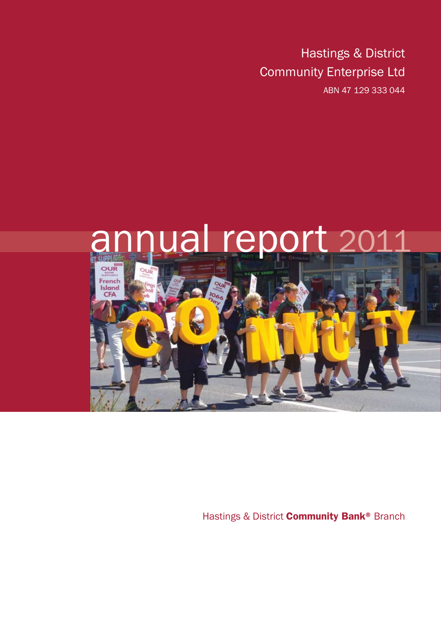Hastings & District Community Enterprise Ltd ABN 47 129 333 044

# ual report



Hastings & District **Community Bank®** Branch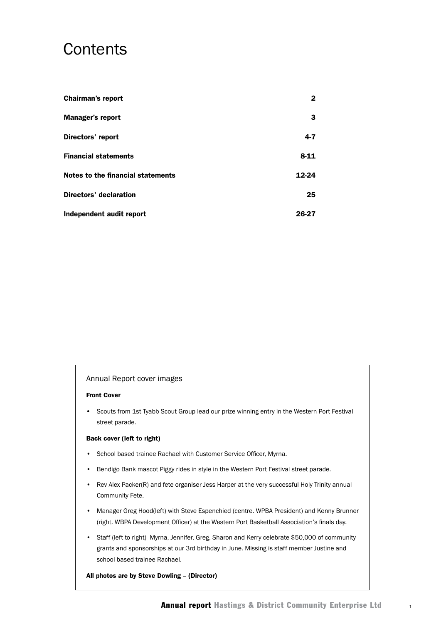## **Contents**

| <b>Chairman's report</b>                 | 2        |
|------------------------------------------|----------|
| <b>Manager's report</b>                  | 3        |
| Directors' report                        | $4 - 7$  |
| <b>Financial statements</b>              | $8 - 11$ |
| <b>Notes to the financial statements</b> | 12-24    |
| <b>Directors' declaration</b>            | 25       |
| Independent audit report                 | 26-27    |

#### Annual Report cover images

#### Front Cover

• Scouts from 1st Tyabb Scout Group lead our prize winning entry in the Western Port Festival street parade.

#### Back cover (left to right)

- School based trainee Rachael with Customer Service Officer, Myrna.
- Bendigo Bank mascot Piggy rides in style in the Western Port Festival street parade.
- Rev Alex Packer(R) and fete organiser Jess Harper at the very successful Holy Trinity annual Community Fete.
- • Manager Greg Hood(left) with Steve Espenchied (centre. WPBA President) and Kenny Brunner (right. WBPA Development Officer) at the Western Port Basketball Association's finals day.
- Staff (left to right) Myrna, Jennifer, Greg, Sharon and Kerry celebrate \$50,000 of community grants and sponsorships at our 3rd birthday in June. Missing is staff member Justine and school based trainee Rachael.

#### All photos are by Steve Dowling – (Director)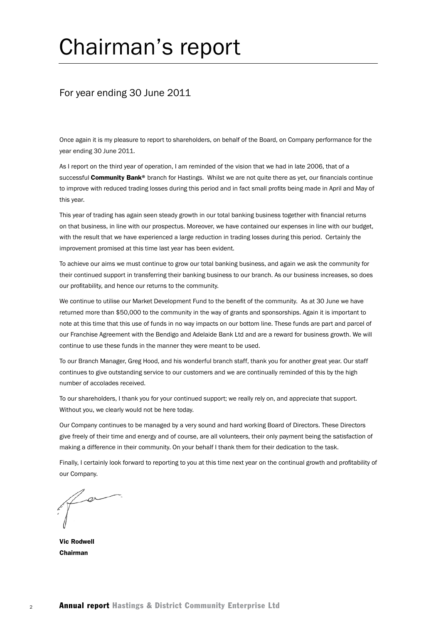# Chairman's report

## For year ending 30 June 2011

Once again it is my pleasure to report to shareholders, on behalf of the Board, on Company performance for the year ending 30 June 2011.

As I report on the third year of operation, I am reminded of the vision that we had in late 2006, that of a successful Community Bank® branch for Hastings. Whilst we are not quite there as yet, our financials continue to improve with reduced trading losses during this period and in fact small profits being made in April and May of this year.

This year of trading has again seen steady growth in our total banking business together with financial returns on that business, in line with our prospectus. Moreover, we have contained our expenses in line with our budget, with the result that we have experienced a large reduction in trading losses during this period. Certainly the improvement promised at this time last year has been evident.

To achieve our aims we must continue to grow our total banking business, and again we ask the community for their continued support in transferring their banking business to our branch. As our business increases, so does our profitability, and hence our returns to the community.

We continue to utilise our Market Development Fund to the benefit of the community. As at 30 June we have returned more than \$50,000 to the community in the way of grants and sponsorships. Again it is important to note at this time that this use of funds in no way impacts on our bottom line. These funds are part and parcel of our Franchise Agreement with the Bendigo and Adelaide Bank Ltd and are a reward for business growth. We will continue to use these funds in the manner they were meant to be used.

To our Branch Manager, Greg Hood, and his wonderful branch staff, thank you for another great year. Our staff continues to give outstanding service to our customers and we are continually reminded of this by the high number of accolades received.

To our shareholders, I thank you for your continued support; we really rely on, and appreciate that support. Without you, we clearly would not be here today.

Our Company continues to be managed by a very sound and hard working Board of Directors. These Directors give freely of their time and energy and of course, are all volunteers, their only payment being the satisfaction of making a difference in their community. On your behalf I thank them for their dedication to the task.

Finally, I certainly look forward to reporting to you at this time next year on the continual growth and profitability of our Company.

Vic Rodwell Chairman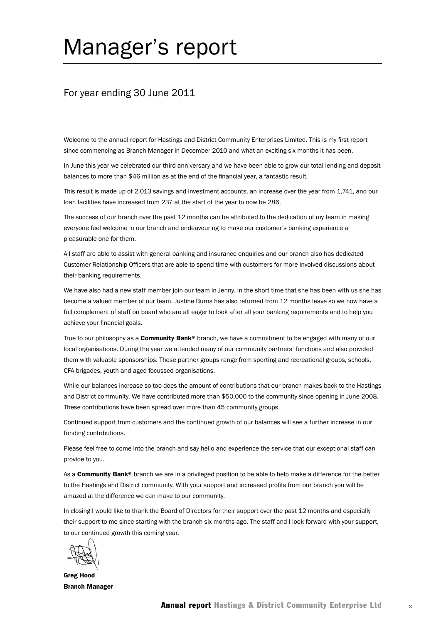## Manager's report

## For year ending 30 June 2011

Welcome to the annual report for Hastings and District Community Enterprises Limited. This is my first report since commencing as Branch Manager in December 2010 and what an exciting six months it has been.

In June this year we celebrated our third anniversary and we have been able to grow our total lending and deposit balances to more than \$46 million as at the end of the financial year, a fantastic result.

This result is made up of 2,013 savings and investment accounts, an increase over the year from 1,741, and our loan facilities have increased from 237 at the start of the year to now be 286.

The success of our branch over the past 12 months can be attributed to the dedication of my team in making everyone feel welcome in our branch and endeavouring to make our customer's banking experience a pleasurable one for them.

All staff are able to assist with general banking and insurance enquiries and our branch also has dedicated Customer Relationship Officers that are able to spend time with customers for more involved discussions about their banking requirements.

We have also had a new staff member join our team in Jenny. In the short time that she has been with us she has become a valued member of our team. Justine Burns has also returned from 12 months leave so we now have a full complement of staff on board who are all eager to look after all your banking requirements and to help you achieve your financial goals.

True to our philosophy as a **Community Bank**<sup>®</sup> branch, we have a commitment to be engaged with many of our local organisations. During the year we attended many of our community partners' functions and also provided them with valuable sponsorships. These partner groups range from sporting and recreational groups, schools, CFA brigades, youth and aged focussed organisations.

While our balances increase so too does the amount of contributions that our branch makes back to the Hastings and District community. We have contributed more than \$50,000 to the community since opening in June 2008. These contributions have been spread over more than 45 community groups.

Continued support from customers and the continued growth of our balances will see a further increase in our funding contributions.

Please feel free to come into the branch and say hello and experience the service that our exceptional staff can provide to you.

As a **Community Bank®** branch we are in a privileged position to be able to help make a difference for the better to the Hastings and District community. With your support and increased profits from our branch you will be amazed at the difference we can make to our community.

In closing I would like to thank the Board of Directors for their support over the past 12 months and especially their support to me since starting with the branch six months ago. The staff and I look forward with your support, to our continued growth this coming year.

Greg Hood Branch Manager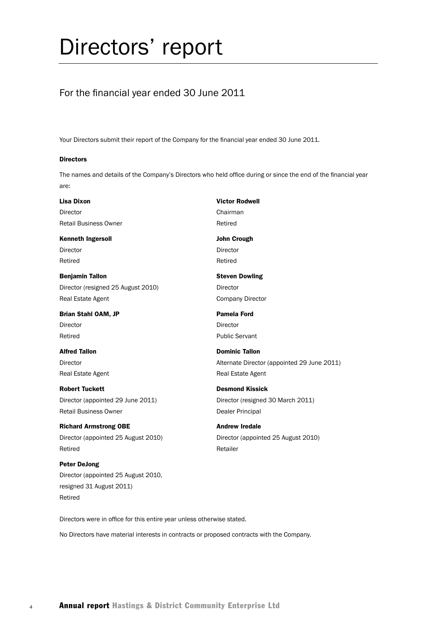# Directors' report

## For the financial year ended 30 June 2011

Your Directors submit their report of the Company for the financial year ended 30 June 2011.

#### Directors

The names and details of the Company's Directors who held office during or since the end of the financial year are:

| Lisa Dixon                          | <b>Victor Rodwell</b>                       |
|-------------------------------------|---------------------------------------------|
| Director                            | Chairman                                    |
| <b>Retail Business Owner</b>        | Retired                                     |
| <b>Kenneth Ingersoll</b>            | <b>John Crough</b>                          |
| Director                            | Director                                    |
| Retired                             | Retired                                     |
| <b>Benjamin Tallon</b>              | <b>Steven Dowling</b>                       |
| Director (resigned 25 August 2010)  | <b>Director</b>                             |
| Real Estate Agent                   | <b>Company Director</b>                     |
| Brian Stahl OAM, JP                 | <b>Pamela Ford</b>                          |
| Director                            | Director                                    |
| Retired                             | <b>Public Servant</b>                       |
| <b>Alfred Tallon</b>                | <b>Dominic Tallon</b>                       |
| Director                            | Alternate Director (appointed 29 June 2011) |
| Real Estate Agent                   | <b>Real Estate Agent</b>                    |
| <b>Robert Tuckett</b>               | <b>Desmond Kissick</b>                      |
| Director (appointed 29 June 2011)   | Director (resigned 30 March 2011)           |
| <b>Retail Business Owner</b>        | Dealer Principal                            |
| <b>Richard Armstrong OBE</b>        | <b>Andrew Iredale</b>                       |
| Director (appointed 25 August 2010) | Director (appointed 25 August 2010)         |
| Retired                             | Retailer                                    |
| Peter DeJong                        |                                             |

Directors were in office for this entire year unless otherwise stated.

Director (appointed 25 August 2010,

resigned 31 August 2011)

Retired

No Directors have material interests in contracts or proposed contracts with the Company.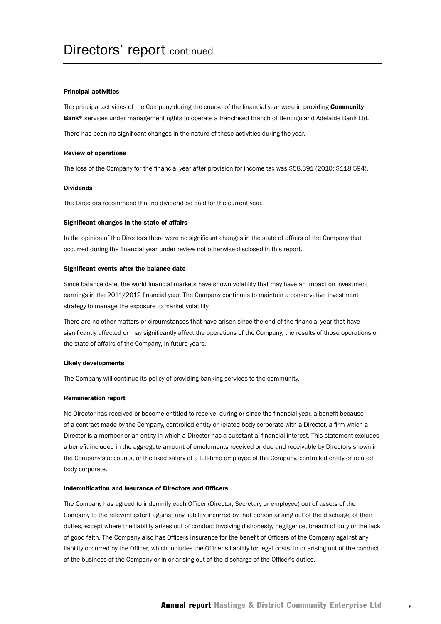#### Principal activities

The principal activities of the Company during the course of the financial year were in providing Community Bank<sup>®</sup> services under management rights to operate a franchised branch of Bendigo and Adelaide Bank Ltd.

There has been no significant changes in the nature of these activities during the year.

#### Review of operations

The loss of the Company for the financial year after provision for income tax was \$58,391 (2010: \$118,594).

#### Dividends

The Directors recommend that no dividend be paid for the current year.

#### Significant changes in the state of affairs

In the opinion of the Directors there were no significant changes in the state of affairs of the Company that occurred during the financial year under review not otherwise disclosed in this report.

#### Significant events after the balance date

Since balance date, the world financial markets have shown volatility that may have an impact on investment earnings in the 2011/2012 financial year. The Company continues to maintain a conservative investment strategy to manage the exposure to market volatility.

There are no other matters or circumstances that have arisen since the end of the financial year that have significantly affected or may significantly affect the operations of the Company, the results of those operations or the state of affairs of the Company, in future years.

#### Likely developments

The Company will continue its policy of providing banking services to the community.

#### Remuneration report

No Director has received or become entitled to receive, during or since the financial year, a benefit because of a contract made by the Company, controlled entity or related body corporate with a Director, a firm which a Director is a member or an entity in which a Director has a substantial financial interest. This statement excludes a benefit included in the aggregate amount of emoluments received or due and receivable by Directors shown in the Company's accounts, or the fixed salary of a full-time employee of the Company, controlled entity or related body corporate.

#### Indemnification and insurance of Directors and Officers

The Company has agreed to indemnify each Officer (Director, Secretary or employee) out of assets of the Company to the relevant extent against any liability incurred by that person arising out of the discharge of their duties, except where the liability arises out of conduct involving dishonesty, negligence, breach of duty or the lack of good faith. The Company also has Officers Insurance for the benefit of Officers of the Company against any liability occurred by the Officer, which includes the Officer's liability for legal costs, in or arising out of the conduct of the business of the Company or in or arising out of the discharge of the Officer's duties.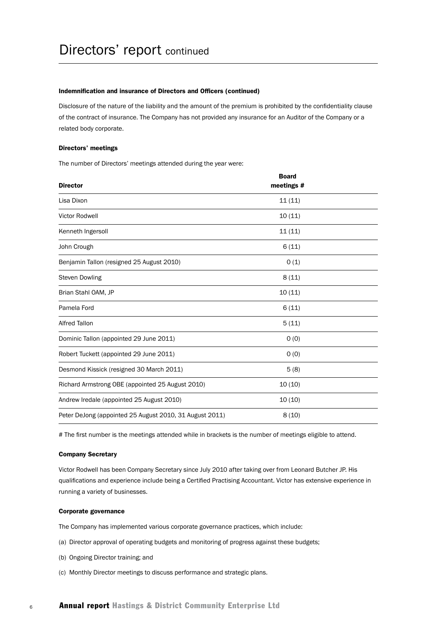#### Indemnification and insurance of Directors and Officers (continued)

Disclosure of the nature of the liability and the amount of the premium is prohibited by the confidentiality clause of the contract of insurance. The Company has not provided any insurance for an Auditor of the Company or a related body corporate.

#### Directors' meetings

The number of Directors' meetings attended during the year were:

| <b>Director</b>                                         | <b>Board</b><br>meetings # |  |
|---------------------------------------------------------|----------------------------|--|
| Lisa Dixon                                              | 11(11)                     |  |
| Victor Rodwell                                          | 10(11)                     |  |
| Kenneth Ingersoll                                       | 11(11)                     |  |
| John Crough                                             | 6(11)                      |  |
| Benjamin Tallon (resigned 25 August 2010)               | 0(1)                       |  |
| <b>Steven Dowling</b>                                   | 8(11)                      |  |
| Brian Stahl OAM, JP                                     | 10(11)                     |  |
| Pamela Ford                                             | 6(11)                      |  |
| <b>Alfred Tallon</b>                                    | 5(11)                      |  |
| Dominic Tallon (appointed 29 June 2011)                 | 0(0)                       |  |
| Robert Tuckett (appointed 29 June 2011)                 | O(0)                       |  |
| Desmond Kissick (resigned 30 March 2011)                | 5(8)                       |  |
| Richard Armstrong OBE (appointed 25 August 2010)        | 10(10)                     |  |
| Andrew Iredale (appointed 25 August 2010)               | 10(10)                     |  |
| Peter DeJong (appointed 25 August 2010, 31 August 2011) | 8(10)                      |  |

# The first number is the meetings attended while in brackets is the number of meetings eligible to attend.

#### Company Secretary

Victor Rodwell has been Company Secretary since July 2010 after taking over from Leonard Butcher JP. His qualifications and experience include being a Certified Practising Accountant. Victor has extensive experience in running a variety of businesses.

#### Corporate governance

The Company has implemented various corporate governance practices, which include:

- (a) Director approval of operating budgets and monitoring of progress against these budgets;
- (b) Ongoing Director training; and
- (c) Monthly Director meetings to discuss performance and strategic plans.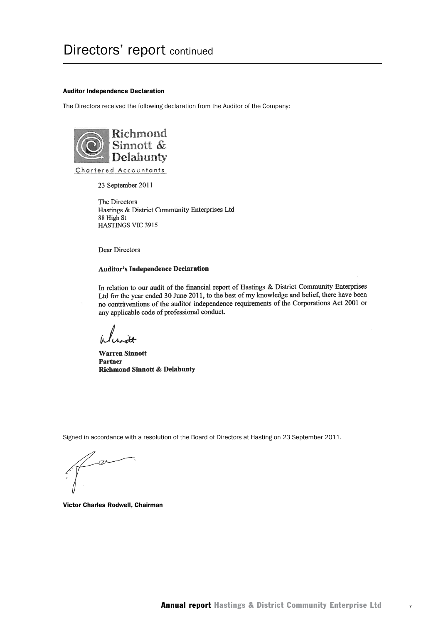#### Auditor Independence Declaration

The Directors received the following declaration from the Auditor of the Company:



23 September 2011

The Directors Hastings & District Community Enterprises Ltd 88 High St HASTINGS VIC 3915

**Dear Directors** 

#### **Auditor's Independence Declaration**

In relation to our audit of the financial report of Hastings & District Community Enterprises Ltd for the year ended 30 June 2011, to the best of my knowledge and belief, there have been no contraventions of the auditor independence requirements of the Corporations Act 2001 or any applicable code of professional conduct.

**Warren Sinnott Partner Richmond Sinnott & Delahunty** 

Signed in accordance with a resolution of the Board of Directors at Hasting on 23 September 2011.

528

Victor Charles Rodwell, Chairman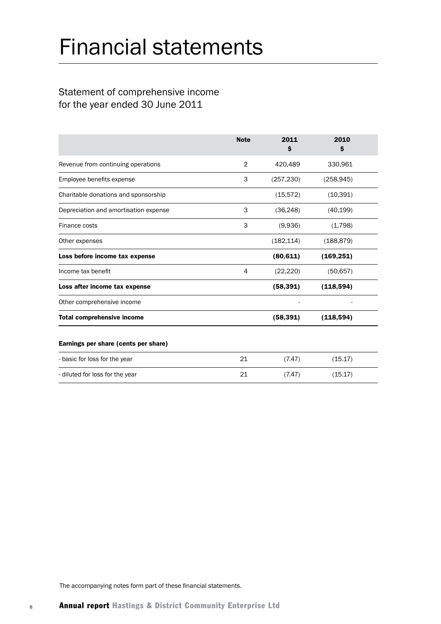# Financial statements

## Statement of comprehensive income for the year ended 30 June 2011

|                                       | <b>Note</b>    | 2011<br>S  | 2010<br>s  |
|---------------------------------------|----------------|------------|------------|
| Revenue from continuing operations    | $\overline{2}$ | 420,489    | 330,961    |
| Employee benefits expense             | 3              | (257, 230) | (258, 945) |
| Charitable donations and sponsorship  |                | (15, 572)  | (10, 391)  |
| Depreciation and amortisation expense | 3              | (36, 248)  | (40, 199)  |
| Finance costs                         | 3              | (9,936)    | (1,798)    |
| Other expenses                        |                | (182, 114) | (188, 879) |
| Loss before income tax expense        |                | (80, 611)  | (169, 251) |
| Income tax benefit                    | 4              | (22, 220)  | (50, 657)  |
| Loss after income tax expense         |                | (58, 391)  | (118, 594) |
| Other comprehensive income            |                |            |            |
| <b>Total comprehensive income</b>     |                | (58, 391)  | (118, 594) |
| Earnings per share (cents per share)  |                |            |            |
| - basic for loss for the year         | 21             | (7.47)     | (15.17)    |
| - diluted for loss for the year       | 21             | (7.47)     | (15.17)    |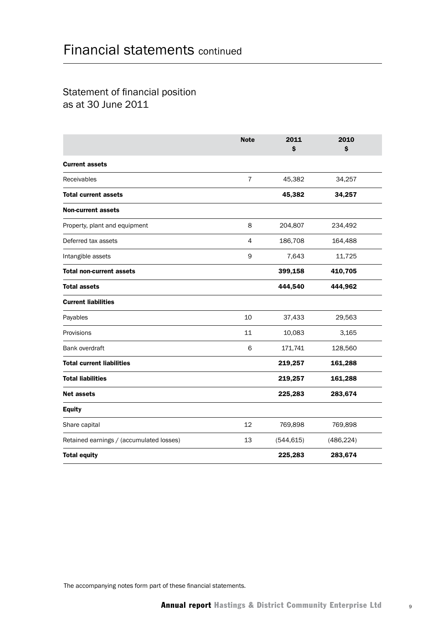## Statement of financial position as at 30 June 2011

|                                          | <b>Note</b>    | 2011<br>\$ | 2010<br>\$ |  |
|------------------------------------------|----------------|------------|------------|--|
| <b>Current assets</b>                    |                |            |            |  |
| Receivables                              | $\overline{7}$ | 45,382     | 34,257     |  |
| <b>Total current assets</b>              |                | 45,382     | 34,257     |  |
| <b>Non-current assets</b>                |                |            |            |  |
| Property, plant and equipment            | 8              | 204,807    | 234,492    |  |
| Deferred tax assets                      | 4              | 186,708    | 164,488    |  |
| Intangible assets                        | 9              | 7,643      | 11,725     |  |
| <b>Total non-current assets</b>          |                | 399,158    | 410,705    |  |
| Total assets                             |                | 444,540    | 444,962    |  |
| <b>Current liabilities</b>               |                |            |            |  |
| Payables                                 | 10             | 37,433     | 29,563     |  |
| Provisions                               | 11             | 10,083     | 3,165      |  |
| Bank overdraft                           | 6              | 171,741    | 128,560    |  |
| <b>Total current liabilities</b>         |                | 219,257    | 161,288    |  |
| <b>Total liabilities</b>                 |                | 219,257    | 161,288    |  |
| <b>Net assets</b>                        |                | 225,283    | 283,674    |  |
| <b>Equity</b>                            |                |            |            |  |
| Share capital                            | 12             | 769,898    | 769,898    |  |
| Retained earnings / (accumulated losses) | 13             | (544, 615) | (486, 224) |  |
| <b>Total equity</b>                      |                | 225,283    | 283,674    |  |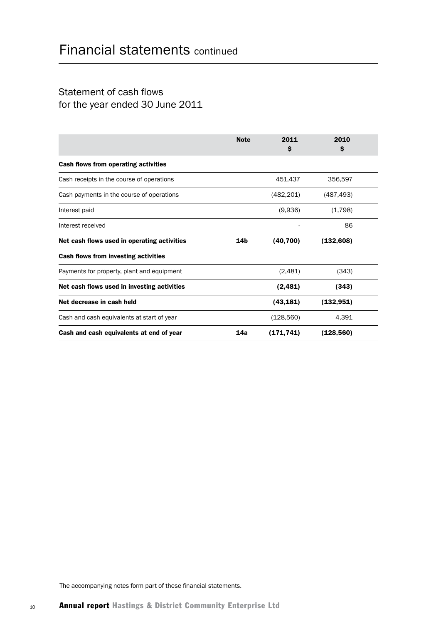## Statement of cash flows for the year ended 30 June 2011

|                                             | <b>Note</b> | 2011<br>s  | 2010<br>\$ |  |
|---------------------------------------------|-------------|------------|------------|--|
| Cash flows from operating activities        |             |            |            |  |
| Cash receipts in the course of operations   |             | 451,437    | 356,597    |  |
| Cash payments in the course of operations   |             | (482, 201) | (487, 493) |  |
| Interest paid                               |             | (9,936)    | (1,798)    |  |
| Interest received                           |             |            | 86         |  |
| Net cash flows used in operating activities | 14b         | (40, 700)  | (132, 608) |  |
| Cash flows from investing activities        |             |            |            |  |
| Payments for property, plant and equipment  |             | (2,481)    | (343)      |  |
| Net cash flows used in investing activities |             | (2,481)    | (343)      |  |
| Net decrease in cash held                   |             | (43, 181)  | (132, 951) |  |
| Cash and cash equivalents at start of year  |             | (128, 560) | 4,391      |  |
| Cash and cash equivalents at end of year    | 14a         | (171, 741) | (128, 560) |  |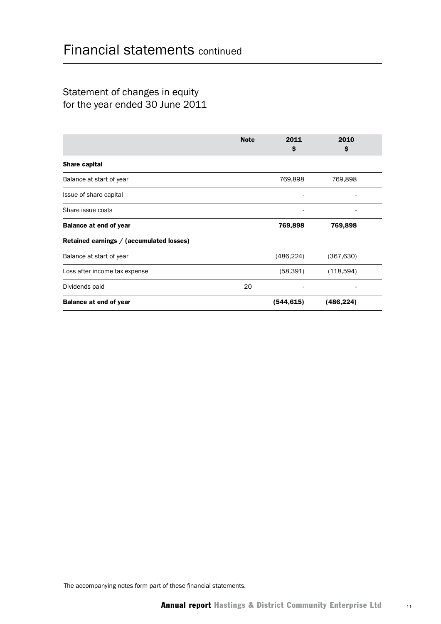## Statement of changes in equity for the year ended 30 June 2011

|                                          | <b>Note</b> | 2011<br>S  | 2010<br>\$ |  |
|------------------------------------------|-------------|------------|------------|--|
| Share capital                            |             |            |            |  |
| Balance at start of year                 |             | 769,898    | 769,898    |  |
| Issue of share capital                   |             |            |            |  |
| Share issue costs                        |             |            |            |  |
| <b>Balance at end of year</b>            |             | 769,898    | 769,898    |  |
| Retained earnings / (accumulated losses) |             |            |            |  |
| Balance at start of year                 |             | (486, 224) | (367, 630) |  |
| Loss after income tax expense            |             | (58, 391)  | (118,594)  |  |
| Dividends paid                           | 20          |            |            |  |
| <b>Balance at end of year</b>            |             | (544, 615) | (486, 224) |  |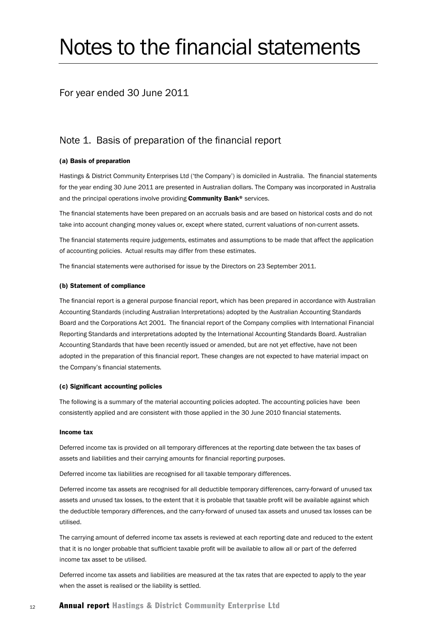# Notes to the financial statements

### For year ended 30 June 2011

### Note 1. Basis of preparation of the financial report

#### (a) Basis of preparation

Hastings & District Community Enterprises Ltd ('the Company') is domiciled in Australia. The financial statements for the year ending 30 June 2011 are presented in Australian dollars. The Company was incorporated in Australia and the principal operations involve providing Community Bank® services.

The financial statements have been prepared on an accruals basis and are based on historical costs and do not take into account changing money values or, except where stated, current valuations of non-current assets.

The financial statements require judgements, estimates and assumptions to be made that affect the application of accounting policies. Actual results may differ from these estimates.

The financial statements were authorised for issue by the Directors on 23 September 2011.

#### (b) Statement of compliance

The financial report is a general purpose financial report, which has been prepared in accordance with Australian Accounting Standards (including Australian Interpretations) adopted by the Australian Accounting Standards Board and the Corporations Act 2001. The financial report of the Company complies with International Financial Reporting Standards and interpretations adopted by the International Accounting Standards Board. Australian Accounting Standards that have been recently issued or amended, but are not yet effective, have not been adopted in the preparation of this financial report. These changes are not expected to have material impact on the Company's financial statements.

#### (c) Significant accounting policies

The following is a summary of the material accounting policies adopted. The accounting policies have been consistently applied and are consistent with those applied in the 30 June 2010 financial statements.

#### Income tax

Deferred income tax is provided on all temporary differences at the reporting date between the tax bases of assets and liabilities and their carrying amounts for financial reporting purposes.

Deferred income tax liabilities are recognised for all taxable temporary differences.

Deferred income tax assets are recognised for all deductible temporary differences, carry-forward of unused tax assets and unused tax losses, to the extent that it is probable that taxable profit will be available against which the deductible temporary differences, and the carry-forward of unused tax assets and unused tax losses can be utilised.

The carrying amount of deferred income tax assets is reviewed at each reporting date and reduced to the extent that it is no longer probable that sufficient taxable profit will be available to allow all or part of the deferred income tax asset to be utilised.

Deferred income tax assets and liabilities are measured at the tax rates that are expected to apply to the year when the asset is realised or the liability is settled.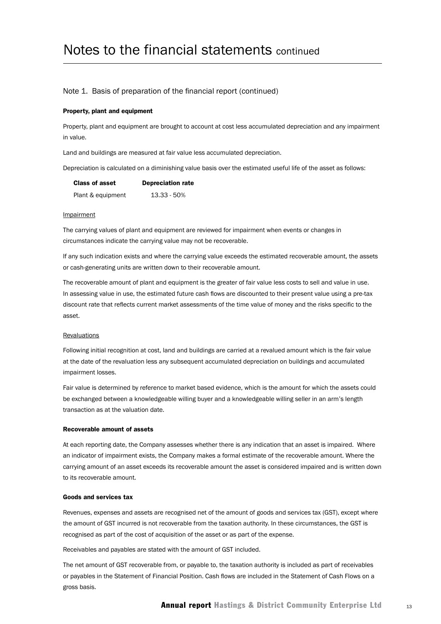#### Note 1. Basis of preparation of the financial report (continued)

#### Property, plant and equipment

Property, plant and equipment are brought to account at cost less accumulated depreciation and any impairment in value.

Land and buildings are measured at fair value less accumulated depreciation.

Depreciation is calculated on a diminishing value basis over the estimated useful life of the asset as follows:

| <b>Class of asset</b> | <b>Depreciation rate</b> |
|-----------------------|--------------------------|
| Plant & equipment     | 13.33 - 50%              |

#### Impairment

The carrying values of plant and equipment are reviewed for impairment when events or changes in circumstances indicate the carrying value may not be recoverable.

If any such indication exists and where the carrying value exceeds the estimated recoverable amount, the assets or cash-generating units are written down to their recoverable amount.

The recoverable amount of plant and equipment is the greater of fair value less costs to sell and value in use. In assessing value in use, the estimated future cash flows are discounted to their present value using a pre-tax discount rate that reflects current market assessments of the time value of money and the risks specific to the asset.

#### Revaluations

Following initial recognition at cost, land and buildings are carried at a revalued amount which is the fair value at the date of the revaluation less any subsequent accumulated depreciation on buildings and accumulated impairment losses.

Fair value is determined by reference to market based evidence, which is the amount for which the assets could be exchanged between a knowledgeable willing buyer and a knowledgeable willing seller in an arm's length transaction as at the valuation date.

#### Recoverable amount of assets

At each reporting date, the Company assesses whether there is any indication that an asset is impaired. Where an indicator of impairment exists, the Company makes a formal estimate of the recoverable amount. Where the carrying amount of an asset exceeds its recoverable amount the asset is considered impaired and is written down to its recoverable amount.

#### Goods and services tax

Revenues, expenses and assets are recognised net of the amount of goods and services tax (GST), except where the amount of GST incurred is not recoverable from the taxation authority. In these circumstances, the GST is recognised as part of the cost of acquisition of the asset or as part of the expense.

Receivables and payables are stated with the amount of GST included.

The net amount of GST recoverable from, or payable to, the taxation authority is included as part of receivables or payables in the Statement of Financial Position. Cash flows are included in the Statement of Cash Flows on a gross basis.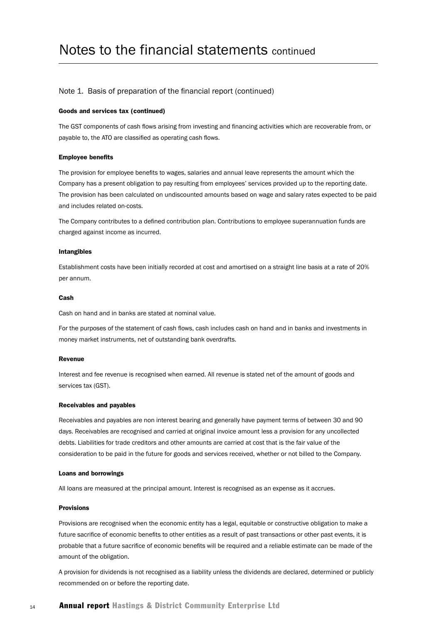#### Note 1. Basis of preparation of the financial report (continued)

#### Goods and services tax (continued)

The GST components of cash flows arising from investing and financing activities which are recoverable from, or payable to, the ATO are classified as operating cash flows.

#### Employee benefits

The provision for employee benefits to wages, salaries and annual leave represents the amount which the Company has a present obligation to pay resulting from employees' services provided up to the reporting date. The provision has been calculated on undiscounted amounts based on wage and salary rates expected to be paid and includes related on-costs.

The Company contributes to a defined contribution plan. Contributions to employee superannuation funds are charged against income as incurred.

#### Intangibles

Establishment costs have been initially recorded at cost and amortised on a straight line basis at a rate of 20% per annum.

#### Cash

Cash on hand and in banks are stated at nominal value.

For the purposes of the statement of cash flows, cash includes cash on hand and in banks and investments in money market instruments, net of outstanding bank overdrafts.

#### Revenue

Interest and fee revenue is recognised when earned. All revenue is stated net of the amount of goods and services tax (GST).

#### Receivables and payables

Receivables and payables are non interest bearing and generally have payment terms of between 30 and 90 days. Receivables are recognised and carried at original invoice amount less a provision for any uncollected debts. Liabilities for trade creditors and other amounts are carried at cost that is the fair value of the consideration to be paid in the future for goods and services received, whether or not billed to the Company.

#### Loans and borrowings

All loans are measured at the principal amount. Interest is recognised as an expense as it accrues.

#### Provisions

Provisions are recognised when the economic entity has a legal, equitable or constructive obligation to make a future sacrifice of economic benefits to other entities as a result of past transactions or other past events, it is probable that a future sacrifice of economic benefits will be required and a reliable estimate can be made of the amount of the obligation.

A provision for dividends is not recognised as a liability unless the dividends are declared, determined or publicly recommended on or before the reporting date.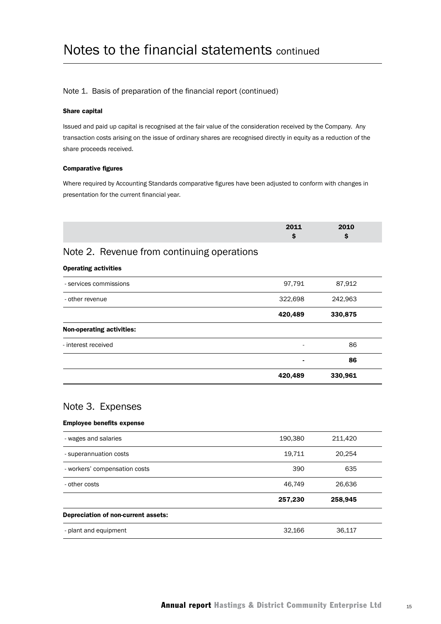#### Note 1. Basis of preparation of the financial report (continued)

#### Share capital

Issued and paid up capital is recognised at the fair value of the consideration received by the Company. Any transaction costs arising on the issue of ordinary shares are recognised directly in equity as a reduction of the share proceeds received.

#### Comparative figures

Where required by Accounting Standards comparative figures have been adjusted to conform with changes in presentation for the current financial year.

| 0.044<br>ZUIL | . |  |
|---------------|---|--|
|               |   |  |

## Note 2. Revenue from continuing operations

#### Operating activities

|                                  | 420,489                  | 330,961 |  |
|----------------------------------|--------------------------|---------|--|
|                                  |                          | 86      |  |
| - interest received              | $\overline{\phantom{0}}$ | 86      |  |
| <b>Non-operating activities:</b> |                          |         |  |
|                                  | 420,489                  | 330,875 |  |
| - other revenue                  | 322,698                  | 242,963 |  |
| - services commissions           | 97,791                   | 87,912  |  |

## Note 3. Expenses

#### Employee benefits expense

| - plant and equipment               | 32.166  | 36,117  |  |
|-------------------------------------|---------|---------|--|
| Depreciation of non-current assets: |         |         |  |
|                                     | 257,230 | 258,945 |  |
| - other costs                       | 46.749  | 26,636  |  |
| - workers' compensation costs       | 390     | 635     |  |
| - superannuation costs              | 19,711  | 20,254  |  |
| - wages and salaries                | 190,380 | 211,420 |  |
|                                     |         |         |  |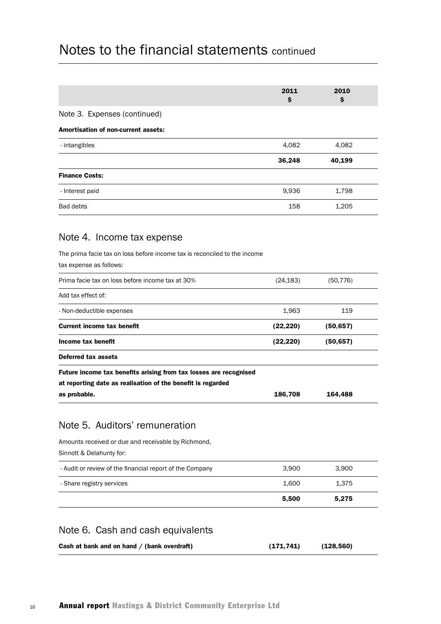|                                                                                                                   | 2011<br>s  | 2010<br>s  |  |
|-------------------------------------------------------------------------------------------------------------------|------------|------------|--|
| Note 3. Expenses (continued)                                                                                      |            |            |  |
| <b>Amortisation of non-current assets:</b>                                                                        |            |            |  |
| - intangibles                                                                                                     | 4,082      | 4,082      |  |
|                                                                                                                   | 36,248     | 40,199     |  |
| <b>Finance Costs:</b>                                                                                             |            |            |  |
| - Interest paid                                                                                                   | 9,936      | 1,798      |  |
| Bad debts                                                                                                         | 158        | 1,205      |  |
| Note 4. Income tax expense<br>The prima facie tax on loss before income tax is reconciled to the income           |            |            |  |
| tax expense as follows:<br>Prima facie tax on loss before income tax at 30%                                       | (24, 183)  | (50, 776)  |  |
| Add tax effect of:                                                                                                |            |            |  |
| - Non-deductible expenses                                                                                         | 1,963      | 119        |  |
| <b>Current income tax benefit</b>                                                                                 | (22, 220)  | (50, 657)  |  |
| Income tax benefit                                                                                                | (22, 220)  | (50, 657)  |  |
| Deferred tax assets                                                                                               |            |            |  |
| Future income tax benefits arising from tax losses are recognised                                                 |            |            |  |
| at reporting date as realisation of the benefit is regarded<br>as probable.                                       | 186,708    | 164,488    |  |
| Note 5. Auditors' remuneration<br>Amounts received or due and receivable by Richmond,<br>Sinnott & Delahunty for: |            |            |  |
| - Audit or review of the financial report of the Company                                                          | 3,900      | 3,900      |  |
| - Share registry services                                                                                         | 1,600      | 1,375      |  |
|                                                                                                                   | 5,500      | 5,275      |  |
| Note 6. Cash and cash equivalents<br>Cash at bank and on hand / (bank overdraft)                                  | (171, 741) | (128, 560) |  |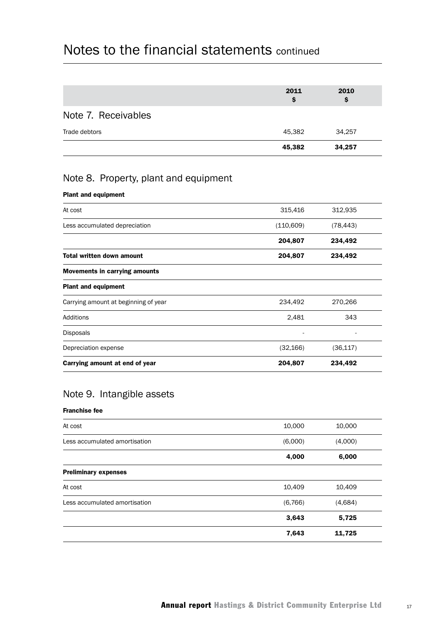| Trade debtors       | 45,382<br>45,382 | 34,257<br>34,257 |  |
|---------------------|------------------|------------------|--|
| Note 7. Receivables |                  |                  |  |
|                     | 2011<br>\$       | 2010<br>s        |  |

## Note 8. Property, plant and equipment

#### Plant and equipment

| At cost                              | 315,416    | 312,935   |  |
|--------------------------------------|------------|-----------|--|
| Less accumulated depreciation        | (110, 609) | (78, 443) |  |
|                                      | 204,807    | 234,492   |  |
| <b>Total written down amount</b>     | 204,807    | 234,492   |  |
| <b>Movements in carrying amounts</b> |            |           |  |
| <b>Plant and equipment</b>           |            |           |  |
| Carrying amount at beginning of year | 234,492    | 270,266   |  |
| Additions                            | 2,481      | 343       |  |
| <b>Disposals</b>                     |            |           |  |
| Depreciation expense                 | (32,166)   | (36, 117) |  |
| Carrying amount at end of year       | 204,807    | 234,492   |  |
|                                      |            |           |  |

## Note 9. Intangible assets

#### Franchise fee

|                               | 7,643    | 11,725  |  |
|-------------------------------|----------|---------|--|
|                               | 3,643    | 5,725   |  |
| Less accumulated amortisation | (6, 766) | (4,684) |  |
| At cost                       | 10,409   | 10,409  |  |
| <b>Preliminary expenses</b>   |          |         |  |
|                               | 4,000    | 6,000   |  |
| Less accumulated amortisation | (6,000)  | (4,000) |  |
| At cost                       | 10,000   | 10,000  |  |
|                               |          |         |  |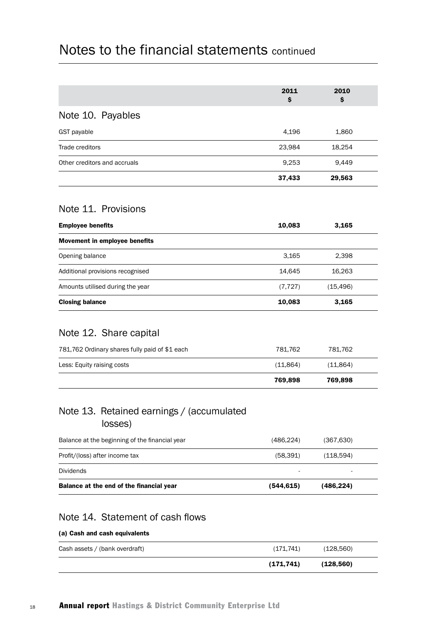|                                      | 2011<br>\$ | 2010<br>\$ |
|--------------------------------------|------------|------------|
| Note 10. Payables                    |            |            |
| GST payable                          | 4,196      | 1,860      |
| Trade creditors                      | 23,984     | 18,254     |
| Other creditors and accruals         | 9,253      | 9,449      |
|                                      | 37,433     | 29,563     |
| Note 11. Provisions                  |            |            |
|                                      |            |            |
| <b>Employee benefits</b>             | 10,083     | 3,165      |
| <b>Movement in employee benefits</b> |            |            |
| Opening balance                      | 3,165      | 2,398      |
| Additional provisions recognised     | 14,645     | 16,263     |
| Amounts utilised during the year     | (7, 727)   | (15, 496)  |
| <b>Closing balance</b>               | 10,083     | 3,165      |

|                                                | 769.898  | 769.898   |  |
|------------------------------------------------|----------|-----------|--|
| Less: Equity raising costs                     | (11,864) | (11, 864) |  |
| 781,762 Ordinary shares fully paid of \$1 each | 781.762  | 781.762   |  |

## Note 13. Retained earnings / (accumulated losses)

| Balance at the end of the financial year       | (544,615) | (486,224)                |  |
|------------------------------------------------|-----------|--------------------------|--|
| Dividends                                      | ۰         | $\overline{\phantom{a}}$ |  |
| Profit/(loss) after income tax                 | (58, 391) | (118,594)                |  |
| Balance at the beginning of the financial year | (486,224) | (367,630)                |  |

## Note 14. Statement of cash flows

### (a) Cash and cash equivalents

|                                | (171,741)  | (128, 560) |  |
|--------------------------------|------------|------------|--|
| Cash assets / (bank overdraft) | (171, 741) | (128,560)  |  |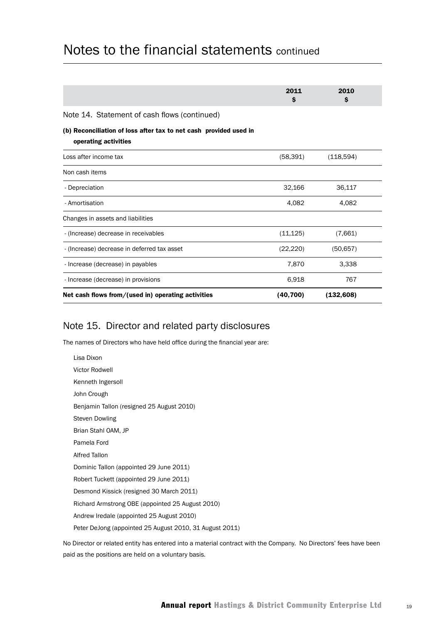|                                                                                           | 2011<br>S | 2010<br>S  |  |
|-------------------------------------------------------------------------------------------|-----------|------------|--|
| Note 14. Statement of cash flows (continued)                                              |           |            |  |
| (b) Reconciliation of loss after tax to net cash provided used in<br>operating activities |           |            |  |
| Loss after income tax                                                                     | (58, 391) | (118, 594) |  |
| Non cash items                                                                            |           |            |  |
| - Depreciation                                                                            | 32,166    | 36,117     |  |
| - Amortisation                                                                            | 4,082     | 4.082      |  |
| Changes in assets and liabilities                                                         |           |            |  |
| - (Increase) decrease in receivables                                                      | (11, 125) | (7,661)    |  |
| - (Increase) decrease in deferred tax asset                                               | (22, 220) | (50, 657)  |  |
| - Increase (decrease) in payables                                                         | 7,870     | 3,338      |  |
| - Increase (decrease) in provisions                                                       | 6,918     | 767        |  |
| Net cash flows from/(used in) operating activities                                        | (40, 700) | (132, 608) |  |

## Note 15. Director and related party disclosures

The names of Directors who have held office during the financial year are: 

Lisa Dixon Victor Rodwell Kenneth Ingersoll John Crough Benjamin Tallon (resigned 25 August 2010) Steven Dowling Brian Stahl OAM, JP Pamela Ford Alfred Tallon Dominic Tallon (appointed 29 June 2011) Robert Tuckett (appointed 29 June 2011) Desmond Kissick (resigned 30 March 2011) Richard Armstrong OBE (appointed 25 August 2010) Andrew Iredale (appointed 25 August 2010) Peter DeJong (appointed 25 August 2010, 31 August 2011) 

No Director or related entity has entered into a material contract with the Company. No Directors' fees have been paid as the positions are held on a voluntary basis.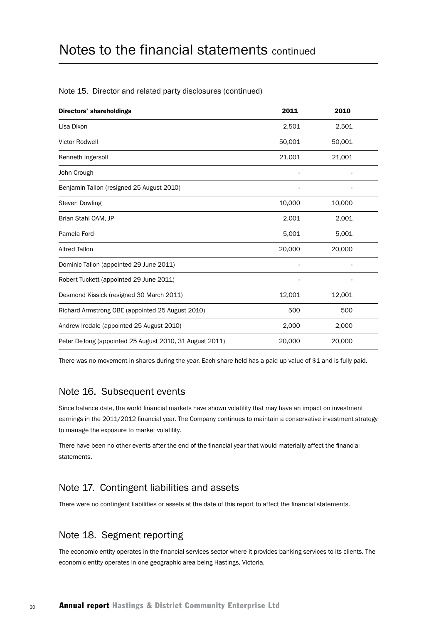#### Note 15. Director and related party disclosures (continued)

| <b>Directors' shareholdings</b>                         | 2011   | 2010   |  |
|---------------------------------------------------------|--------|--------|--|
| Lisa Dixon                                              | 2,501  | 2,501  |  |
| <b>Victor Rodwell</b>                                   | 50,001 | 50,001 |  |
| Kenneth Ingersoll                                       | 21,001 | 21,001 |  |
| John Crough                                             |        |        |  |
| Benjamin Tallon (resigned 25 August 2010)               |        |        |  |
| <b>Steven Dowling</b>                                   | 10,000 | 10,000 |  |
| Brian Stahl OAM, JP                                     | 2,001  | 2,001  |  |
| Pamela Ford                                             | 5,001  | 5,001  |  |
| <b>Alfred Tallon</b>                                    | 20,000 | 20,000 |  |
| Dominic Tallon (appointed 29 June 2011)                 |        |        |  |
| Robert Tuckett (appointed 29 June 2011)                 |        |        |  |
| Desmond Kissick (resigned 30 March 2011)                | 12,001 | 12,001 |  |
| Richard Armstrong OBE (appointed 25 August 2010)        | 500    | 500    |  |
| Andrew Iredale (appointed 25 August 2010)               | 2,000  | 2,000  |  |
| Peter DeJong (appointed 25 August 2010, 31 August 2011) | 20,000 | 20,000 |  |

There was no movement in shares during the year. Each share held has a paid up value of \$1 and is fully paid.

### Note 16. Subsequent events

Since balance date, the world financial markets have shown volatility that may have an impact on investment earnings in the 2011/2012 financial year. The Company continues to maintain a conservative investment strategy to manage the exposure to market volatility.

There have been no other events after the end of the financial year that would materially affect the financial statements.

## Note 17. Contingent liabilities and assets

There were no contingent liabilities or assets at the date of this report to affect the financial statements.

### Note 18. Segment reporting

The economic entity operates in the financial services sector where it provides banking services to its clients. The economic entity operates in one geographic area being Hastings, Victoria.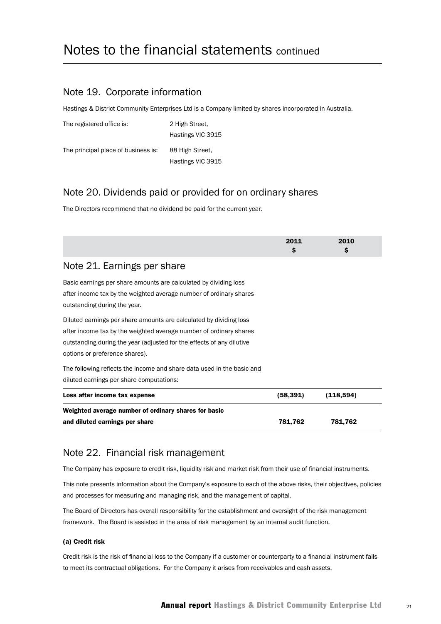### Note 19. Corporate information

Hastings & District Community Enterprises Ltd is a Company limited by shares incorporated in Australia.

| The registered office is:           | 2 High Street.    |
|-------------------------------------|-------------------|
|                                     | Hastings VIC 3915 |
| The principal place of business is: | 88 High Street.   |
|                                     | Hastings VIC 3915 |

## Note 20. Dividends paid or provided for on ordinary shares

The Directors recommend that no dividend be paid for the current year.

|                                                                                                                                                                                                                                                     | 2011<br>\$ | 2010<br>\$. |  |
|-----------------------------------------------------------------------------------------------------------------------------------------------------------------------------------------------------------------------------------------------------|------------|-------------|--|
| Note 21. Earnings per share                                                                                                                                                                                                                         |            |             |  |
| Basic earnings per share amounts are calculated by dividing loss<br>after income tax by the weighted average number of ordinary shares<br>outstanding during the year.                                                                              |            |             |  |
| Diluted earnings per share amounts are calculated by dividing loss<br>after income tax by the weighted average number of ordinary shares<br>outstanding during the year (adjusted for the effects of any dilutive<br>options or preference shares). |            |             |  |
| The following reflects the income and share data used in the basic and<br>diluted earnings per share computations:                                                                                                                                  |            |             |  |
| Loss after income tax expense                                                                                                                                                                                                                       | (58, 391)  | (118, 594)  |  |
| Weighted average number of ordinary shares for basic<br>and diluted earnings per share                                                                                                                                                              | 781,762    | 781,762     |  |
|                                                                                                                                                                                                                                                     |            |             |  |

### Note 22. Financial risk management

The Company has exposure to credit risk, liquidity risk and market risk from their use of financial instruments.

This note presents information about the Company's exposure to each of the above risks, their objectives, policies and processes for measuring and managing risk, and the management of capital.

The Board of Directors has overall responsibility for the establishment and oversight of the risk management framework. The Board is assisted in the area of risk management by an internal audit function.

#### (a) Credit risk

Credit risk is the risk of financial loss to the Company if a customer or counterparty to a financial instrument fails to meet its contractual obligations. For the Company it arises from receivables and cash assets.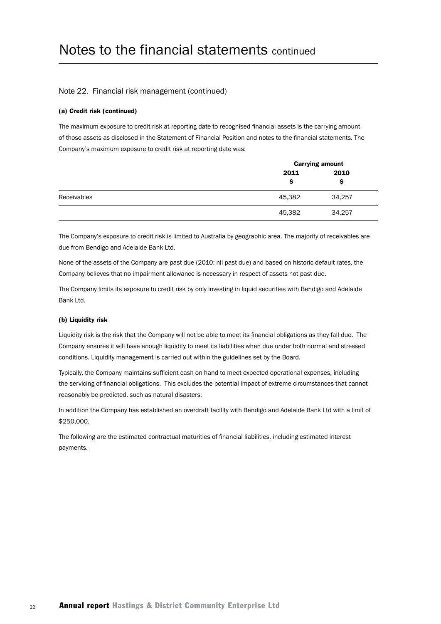#### Note 22. Financial risk management (continued)

#### (a) Credit risk (continued)

The maximum exposure to credit risk at reporting date to recognised financial assets is the carrying amount of those assets as disclosed in the Statement of Financial Position and notes to the financial statements. The Company's maximum exposure to credit risk at reporting date was:

|             |             | <b>Carrying amount</b> |  |
|-------------|-------------|------------------------|--|
|             | 2011<br>\$. | 2010<br>S              |  |
| Receivables | 45,382      | 34,257                 |  |
|             | 45,382      | 34,257                 |  |

The Company's exposure to credit risk is limited to Australia by geographic area. The majority of receivables are due from Bendigo and Adelaide Bank Ltd.

None of the assets of the Company are past due (2010: nil past due) and based on historic default rates, the Company believes that no impairment allowance is necessary in respect of assets not past due.

The Company limits its exposure to credit risk by only investing in liquid securities with Bendigo and Adelaide Bank Ltd.

#### (b) Liquidity risk

Liquidity risk is the risk that the Company will not be able to meet its financial obligations as they fall due. The Company ensures it will have enough liquidity to meet its liabilities when due under both normal and stressed conditions. Liquidity management is carried out within the guidelines set by the Board.

Typically, the Company maintains sufficient cash on hand to meet expected operational expenses, including the servicing of financial obligations. This excludes the potential impact of extreme circumstances that cannot reasonably be predicted, such as natural disasters.

In addition the Company has established an overdraft facility with Bendigo and Adelaide Bank Ltd with a limit of \$250,000.

The following are the estimated contractual maturities of financial liabilities, including estimated interest payments.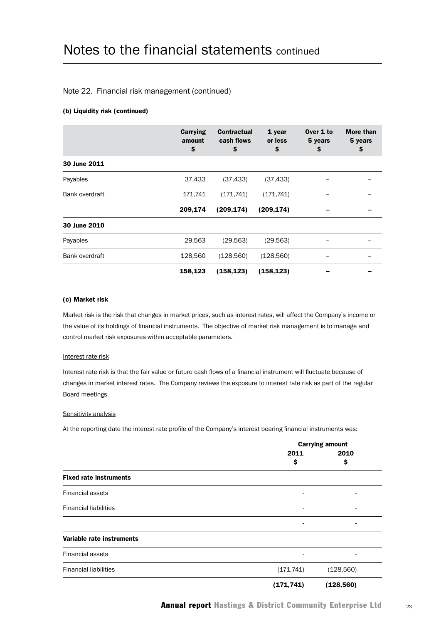#### Note 22. Financial risk management (continued)

#### (b) Liquidity risk (continued)

|                | Carrying<br>amount<br>\$ | <b>Contractual</b><br>cash flows<br>\$ | 1 year<br>or less<br>\$ | Over 1 to<br>5 years<br>\$ | <b>More than</b><br>5 years<br>\$ |
|----------------|--------------------------|----------------------------------------|-------------------------|----------------------------|-----------------------------------|
| 30 June 2011   |                          |                                        |                         |                            |                                   |
| Payables       | 37,433                   | (37, 433)                              | (37, 433)               |                            |                                   |
| Bank overdraft | 171,741                  | (171, 741)                             | (171, 741)              |                            |                                   |
|                | 209,174                  | (209, 174)                             | (209, 174)              |                            |                                   |
| 30 June 2010   |                          |                                        |                         |                            |                                   |
| Payables       | 29,563                   | (29, 563)                              | (29, 563)               |                            |                                   |
| Bank overdraft | 128,560                  | (128, 560)                             | (128, 560)              |                            |                                   |
|                | 158,123                  | (158, 123)                             | (158, 123)              |                            |                                   |

#### (c) Market risk

Market risk is the risk that changes in market prices, such as interest rates, will affect the Company's income or the value of its holdings of financial instruments. The objective of market risk management is to manage and control market risk exposures within acceptable parameters.

#### Interest rate risk

Interest rate risk is that the fair value or future cash flows of a financial instrument will fluctuate because of changes in market interest rates. The Company reviews the exposure to interest rate risk as part of the regular Board meetings.

#### Sensitivity analysis

At the reporting date the interest rate profile of the Company's interest bearing financial instruments was:

|                               |            | <b>Carrying amount</b> |  |  |
|-------------------------------|------------|------------------------|--|--|
|                               | 2011       | 2010                   |  |  |
|                               | \$         | \$                     |  |  |
| <b>Fixed rate instruments</b> |            |                        |  |  |
| Financial assets              | ٠          | ۰                      |  |  |
| <b>Financial liabilities</b>  | ٠          | ٠                      |  |  |
|                               | ٠          | ٠                      |  |  |
| Variable rate instruments     |            |                        |  |  |
| <b>Financial assets</b>       | ۰          |                        |  |  |
| <b>Financial liabilities</b>  | (171, 741) | (128, 560)             |  |  |
|                               | (171, 741) | (128, 560)             |  |  |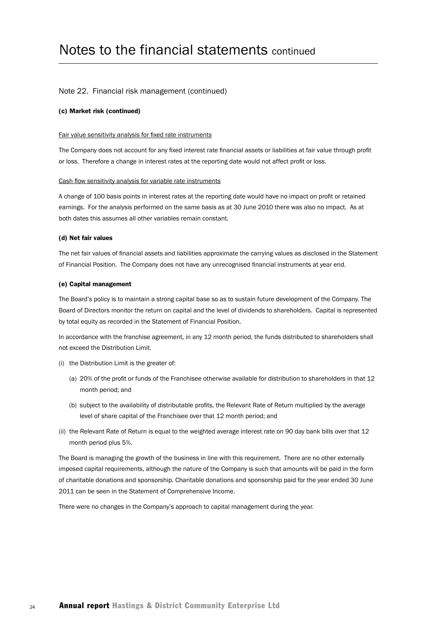#### Note 22. Financial risk management (continued)

#### (c) Market risk (continued)

#### Fair value sensitivity analysis for fixed rate instruments

The Company does not account for any fixed interest rate financial assets or liabilities at fair value through profit or loss. Therefore a change in interest rates at the reporting date would not affect profit or loss.

#### Cash flow sensitivity analysis for variable rate instruments

A change of 100 basis points in interest rates at the reporting date would have no impact on profit or retained earnings. For the analysis performed on the same basis as at 30 June 2010 there was also no impact. As at both dates this assumes all other variables remain constant.

#### (d) Net fair values

The net fair values of financial assets and liabilities approximate the carrying values as disclosed in the Statement of Financial Position. The Company does not have any unrecognised financial instruments at year end.

#### (e) Capital management

The Board's policy is to maintain a strong capital base so as to sustain future development of the Company. The Board of Directors monitor the return on capital and the level of dividends to shareholders. Capital is represented by total equity as recorded in the Statement of Financial Position.

In accordance with the franchise agreement, in any 12 month period, the funds distributed to shareholders shall not exceed the Distribution Limit.

- (i) the Distribution Limit is the greater of:
	- (a) 20% of the profit or funds of the Franchisee otherwise available for distribution to shareholders in that 12 month period; and
	- (b) subject to the availability of distributable profits, the Relevant Rate of Return multiplied by the average level of share capital of the Franchisee over that 12 month period; and
- (ii) the Relevant Rate of Return is equal to the weighted average interest rate on 90 day bank bills over that 12 month period plus 5%.

The Board is managing the growth of the business in line with this requirement. There are no other externally imposed capital requirements, although the nature of the Company is such that amounts will be paid in the form of charitable donations and sponsorship. Charitable donations and sponsorship paid for the year ended 30 June 2011 can be seen in the Statement of Comprehensive Income.

There were no changes in the Company's approach to capital management during the year.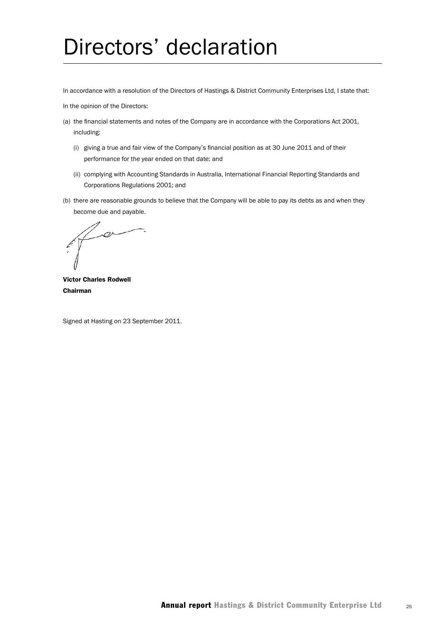## Directors' declaration

In accordance with a resolution of the Directors of Hastings & District Community Enterprises Ltd, I state that:

In the opinion of the Directors:

- (a) the financial statements and notes of the Company are in accordance with the Corporations Act 2001, including:
	- (i) giving a true and fair view of the Company's financial position as at 30 June 2011 and of their performance for the year ended on that date; and
	- (ii) complying with Accounting Standards in Australia, International Financial Reporting Standards and Corporations Regulations 2001; and
- (b) there are reasonable grounds to believe that the Company will be able to pay its debts as and when they become due and payable.

Victor Charles Rodwell Chairman

Signed at Hasting on 23 September 2011.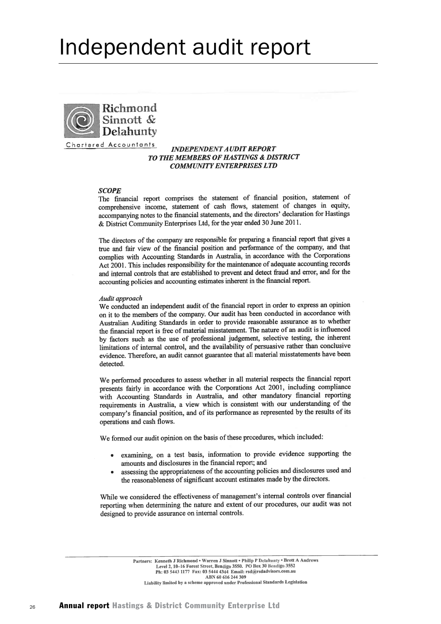## Independent audit report



Chartered Accountants

#### **INDEPENDENT AUDIT REPORT** TO THE MEMBERS OF HASTINGS & DISTRICT **COMMUNITY ENTERPRISES LTD**

#### **SCOPE**

The financial report comprises the statement of financial position, statement of comprehensive income, statement of cash flows, statement of changes in equity, accompanying notes to the financial statements, and the directors' declaration for Hastings & District Community Enterprises Ltd, for the year ended 30 June 2011.

The directors of the company are responsible for preparing a financial report that gives a true and fair view of the financial position and performance of the company, and that complies with Accounting Standards in Australia, in accordance with the Corporations Act 2001. This includes responsibility for the maintenance of adequate accounting records and internal controls that are established to prevent and detect fraud and error, and for the accounting policies and accounting estimates inherent in the financial report.

#### Audit approach

We conducted an independent audit of the financial report in order to express an opinion on it to the members of the company. Our audit has been conducted in accordance with Australian Auditing Standards in order to provide reasonable assurance as to whether the financial report is free of material misstatement. The nature of an audit is influenced by factors such as the use of professional judgement, selective testing, the inherent limitations of internal control, and the availability of persuasive rather than conclusive evidence. Therefore, an audit cannot guarantee that all material misstatements have been detected.

We performed procedures to assess whether in all material respects the financial report presents fairly in accordance with the Corporations Act 2001, including compliance with Accounting Standards in Australia, and other mandatory financial reporting requirements in Australia, a view which is consistent with our understanding of the company's financial position, and of its performance as represented by the results of its operations and cash flows.

We formed our audit opinion on the basis of these procedures, which included:

- examining, on a test basis, information to provide evidence supporting the amounts and disclosures in the financial report; and
- assessing the appropriateness of the accounting policies and disclosures used and the reasonableness of significant account estimates made by the directors.

While we considered the effectiveness of management's internal controls over financial reporting when determining the nature and extent of our procedures, our audit was not designed to provide assurance on internal controls.

> Partners: Kenneth J Richmond . Warren J Sinnott . Philip P Delahunty . Brett A Andrews Level 2, 10–16 Forest Street, Bendigo 3550, PO Box 30 Bendigo 3552 Ph: 03 5443 1177 Fax: 03 5444 4344 Email: rsd@rsdadvisors.com.au ABN 60 616 244 309 Liability limited by a scheme approved under Professional Standards Legislation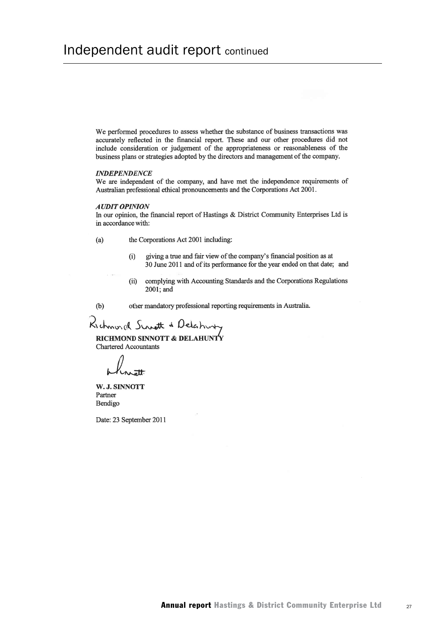We performed procedures to assess whether the substance of business transactions was accurately reflected in the financial report. These and our other procedures did not include consideration or judgement of the appropriateness or reasonableness of the business plans or strategies adopted by the directors and management of the company.

#### **INDEPENDENCE**

We are independent of the company, and have met the independence requirements of Australian professional ethical pronouncements and the Corporations Act 2001.

#### **AUDIT OPINION**

In our opinion, the financial report of Hastings & District Community Enterprises Ltd is in accordance with:

 $(a)$ 

 $(b)$ 

the Corporations Act 2001 including:

- giving a true and fair view of the company's financial position as at  $(i)$ 30 June 2011 and of its performance for the year ended on that date; and
- $(ii)$ complying with Accounting Standards and the Corporations Regulations 2001: and

other mandatory professional reporting requirements in Australia.

Richmond Screet & Delahorty

RICHMOND SINNOTT & DELAHUNTY **Chartered Accountants** 

W. J. SINNOTT Partner Bendigo

Date: 23 September 2011